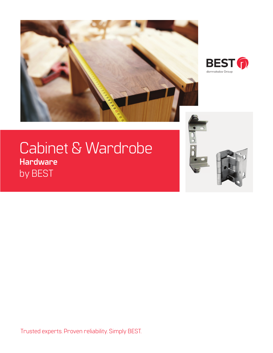



# Cabinet & Wardrobe **Hardware** by BEST



Trusted experts. Proven reliability. Simply BEST.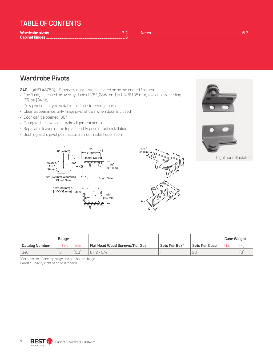#### **TABLE OF CONTENTS**

**Notes .........................................................................................................................................6-7**

#### **Wardrobe Pivots**

- **340**  (ANSI A8753) Standary duty steel plated or prime coated finishes
- For flush, recessed or overlay doors 1-1/8" (28.6 mm) to 1-3/8" (35 mm) thick not exceeding 75 lbs. (34 Kg)
- Only pivot of its type suitable for floor-to-ceiling doors
- Clean appearance, only hinge pivot shows when door is closed
- Door can be opened 180º
- Elongated screw holes make alignment simple
- Separable leaves of the top assembly permit fast installation
- Bushing at the pivot point assure smooth, silent operation.







Right hand illustated

|                       | Gauge  |                 |                                      |               |               |        | <b>Case Weight</b> |  |
|-----------------------|--------|-----------------|--------------------------------------|---------------|---------------|--------|--------------------|--|
| <b>Catalog Number</b> | Inches | f <sub>mm</sub> | <b>Flat Head Wood Screws/Per Set</b> | Sets Per Box* | Sets Per Case | Lbs.   | (Ka)               |  |
| 340                   | .131   | [3.3]           | $8 - 12 \times 3/4$                  |               | 2C            | $\sim$ | (8)                |  |

 $15/16'$ 

\*Set consists of one top hinge and one bottom hinge Handed. Specify right hand or left hand

2 **BEST CON** Cabinet & Wardrobe Hardware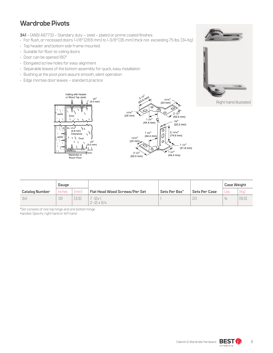#### **Wardrobe Pivots**

**341** – (ANSI A8773) – Standary duty – steel – plated or prime coated finishes

- For flush, or recessed doors 1-1/8" (28.6 mm) to 1-3/8" (35 mm) thick not exceeding 75 lbs. (34 Kg)
- Top header and bottom side frame mounted
- Suitable for floor-to-celing doors
- Door can be opened 180º
- Elongated screw holes for easy alignment
- Separable leaves of the bottom assembly for quick, easy installation
- Bushing at the pivot point assure smooth, silent operation
- Edge mortise door leaves standard practice





Right hand illustated





|                       | Gauge  |       |                                      |               |                      | <b>Case Weight</b> |       |
|-----------------------|--------|-------|--------------------------------------|---------------|----------------------|--------------------|-------|
| <b>Catalog Number</b> | Inches | [mm]  | <b>Flat Head Wood Screws/Per Set</b> | Sets Per Box* | <b>Sets Per Case</b> | $L$ bs             | [Kq]  |
| 341                   | .131   | [3.3] | $-12x$<br>$2 - 12 \times 11/4$       |               | 2C                   | $\frac{1}{4}$      | [6.3] |

\*Set consists of one top hinge and one bottom hinge Handed. Specify right hand or left hand

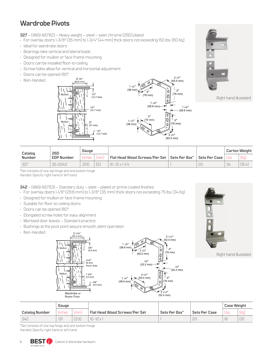### **Wardrobe Pivots**

**327** – (ANSI A8782) – Heavy weight – steel – satin chrome (26D) plated

- For overlay doors 1-3/8" (35 mm) to 1-3/4" (44 mm) thick doors not exceeding 150 lbs. (60 Kg)
- Ideal for wardrobe doors
- Bearings take vertical and lateral loads
- Designed for mullion or face frame mounting
- Doors can be installed floor-to-ceiling
- Screw holes allow for vertical and horizontal adjustment
- Doors can be opened 180º
- Non-Handed







Right hand illustated

| Catalog | 26D               | Gauge |     |                                                        |               | <b>Carton Weight</b> |       |
|---------|-------------------|-------|-----|--------------------------------------------------------|---------------|----------------------|-------|
| Number  | <b>EDP Number</b> |       | Imm | <b>Flat Head Wood Screws/Per Set   Sets Per Box*  </b> | Sets Per Case |                      | (Kq)  |
| -327    | 35-0043           | 200   | 〔5〕 | $10 - 12 \times 1 - 1/4$                               |               | 34                   | 15.4. |

\*Set consists of one top hinge and one bottom hinge

Handed. Specify right hand or left hand

**342** – (ANSI A8783) – Standary duty – steel – plated or prime coated finishes

• For overlay doors 1-1/8" (28.6 mm) to 1-3/8" (35 mm) thick doors not exceeding 75 lbs. (34 Kg)

- Designed for mullion or face frame mounting
- Suitable for floor-to-ceiling doors
- Doors can be opened 180º
- Elongated screw holes for easy alignment
- Mortised door leaves Standard practice
- Bushings at the pivot point assure smooth, silent operation
- Non-Handed





 $21/16''$  $(52.4 \text{ mm})$ 



|                | Gauge  |       |                                      |               |               |      |      | <b>Case Weight</b> |  |
|----------------|--------|-------|--------------------------------------|---------------|---------------|------|------|--------------------|--|
| Catalog Number | Inches | 1mm   | <b>Flat Head Wood Screws/Per Set</b> | Sets Per Box* | Sets Per Case | Lbs. | fka. |                    |  |
| -342           | .131   | [3.3] | $10 - 12x$                           |               | 2C            | 18   | (8)  |                    |  |

\*Set consists of one top hinge and one bottom hinge Handed. Specify right hand or left hand

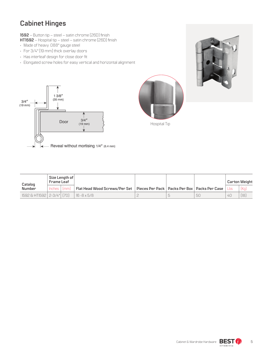## **Cabinet Hinges**

**1592** – Button tip – steel – satin chrome (26D) finish

- **HT1592**  Hospital tip steel satin chrome (26D) finish
- Made of heavy .088" gauge steel
- For 3/4" (19 mm) thick overlay doors
- Has interleaf design for close door fit
- Elongated screw holes for easy vertical and horizontal alignment







Hospital Tip



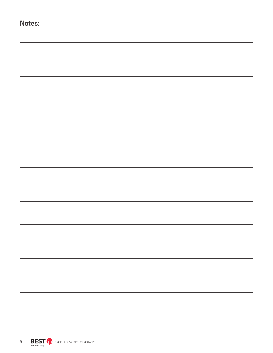| Notes: |                             |
|--------|-----------------------------|
|        |                             |
|        |                             |
|        |                             |
|        |                             |
|        |                             |
|        |                             |
|        |                             |
|        |                             |
|        |                             |
|        |                             |
|        |                             |
|        |                             |
|        |                             |
|        |                             |
|        | $\sim$ $\sim$ $\sim$ $\sim$ |
|        | $\overline{\phantom{a}}$    |
|        | $\overline{\phantom{0}}$    |
|        | $\overline{\phantom{0}}$    |
|        |                             |
|        |                             |
|        | —                           |

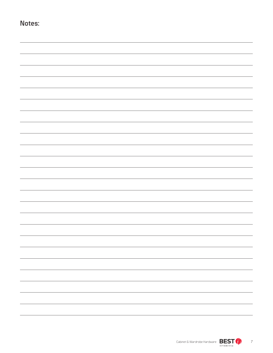| Notes: |                          |
|--------|--------------------------|
|        |                          |
|        |                          |
|        |                          |
|        |                          |
|        |                          |
|        |                          |
|        |                          |
|        |                          |
|        |                          |
|        |                          |
|        |                          |
|        |                          |
|        |                          |
|        |                          |
|        |                          |
|        |                          |
|        |                          |
|        | $\sim$                   |
|        | $\overline{\phantom{a}}$ |
|        | $\overline{\phantom{a}}$ |
|        | $\overline{\phantom{0}}$ |
|        | $\overline{\phantom{0}}$ |
|        |                          |
|        | -                        |
|        | $\overline{\phantom{0}}$ |
|        |                          |